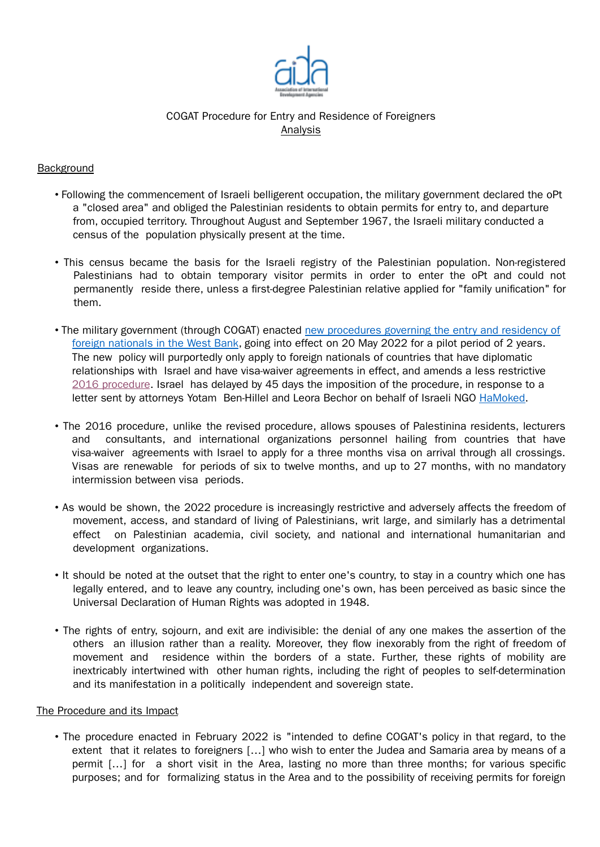

# COGAT Procedure for Entry and Residence of Foreigners Analysis

## **Background**

- Following the commencement of Israeli belligerent occupation, the military government declared the oPt a "closed area" and obliged the Palestinian residents to obtain permits for entry to, and departure from, occupied territory. Throughout August and September 1967, the Israeli military conducted a census of the population physically present at the time.
- This census became the basis for the Israeli registry of the Palestinian population. Non-registered Palestinians had to obtain temporary visitor permits in order to enter the oPt and could not permanently reside there, unless a first-degree Palestinian relative applied for "family unification" for them.
- The military government (through COGAT) enacted new procedures governing the entry and residency of foreign nationals in the West Bank, going into effect on 20 May 2022 for a pilot period of 2 years. The new policy will purportedly only apply to foreign nationals of countries that have diplomatic relationships with Israel and have visa-waiver agreements in effect, and amends a less restrictive 2016 procedure. Israel has delayed by 45 days the imposition of the procedure, in response to a letter sent by attorneys Yotam Ben-Hillel and Leora Bechor on behalf of Israeli NGO HaMoked.
- The 2016 procedure, unlike the revised procedure, allows spouses of Palestinina residents, lecturers and consultants, and international organizations personnel hailing from countries that have visa-waiver agreements with Israel to apply for a three months visa on arrival through all crossings. Visas are renewable for periods of six to twelve months, and up to 27 months, with no mandatory intermission between visa periods.
- As would be shown, the 2022 procedure is increasingly restrictive and adversely affects the freedom of movement, access, and standard of living of Palestinians, writ large, and similarly has a detrimental effect on Palestinian academia, civil society, and national and international humanitarian and development organizations.
- It should be noted at the outset that the right to enter one's country, to stay in a country which one has legally entered, and to leave any country, including one's own, has been perceived as basic since the Universal Declaration of Human Rights was adopted in 1948.
- The rights of entry, sojourn, and exit are indivisible: the denial of any one makes the assertion of the others an illusion rather than a reality. Moreover, they flow inexorably from the right of freedom of movement and residence within the borders of a state. Further, these rights of mobility are inextricably intertwined with other human rights, including the right of peoples to self-determination and its manifestation in a politically independent and sovereign state.

### The Procedure and its Impact

• The procedure enacted in February 2022 is "intended to define COGAT's policy in that regard, to the extent that it relates to foreigners […] who wish to enter the Judea and Samaria area by means of a permit […] for a short visit in the Area, lasting no more than three months; for various specific purposes; and for formalizing status in the Area and to the possibility of receiving permits for foreign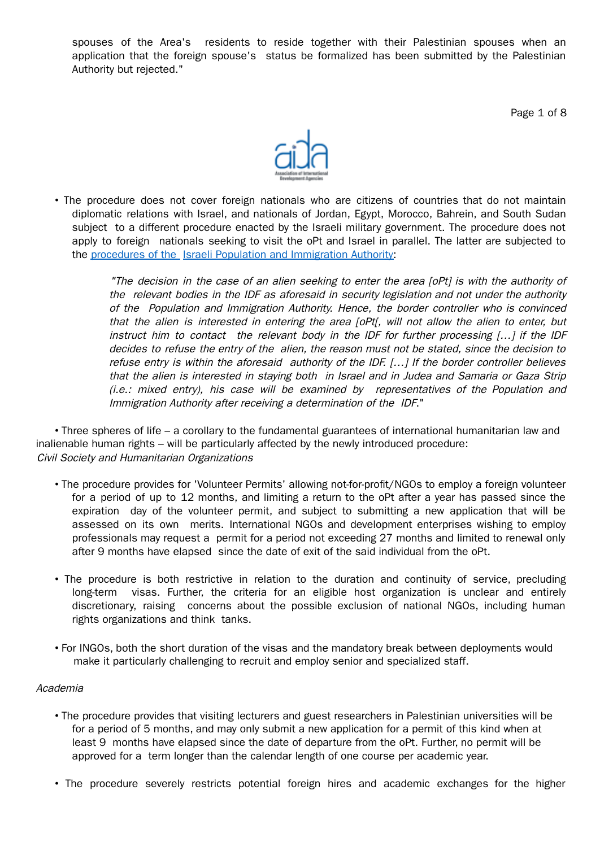spouses of the Area's residents to reside together with their Palestinian spouses when an application that the foreign spouse's status be formalized has been submitted by the Palestinian Authority but rejected."

Page 1 of 8



• The procedure does not cover foreign nationals who are citizens of countries that do not maintain diplomatic relations with Israel, and nationals of Jordan, Egypt, Morocco, Bahrein, and South Sudan subject to a different procedure enacted by the Israeli military government. The procedure does not apply to foreign nationals seeking to visit the oPt and Israel in parallel. The latter are subjected to the procedures of the Israeli Population and Immigration Authority:

> "The decision in the case of an alien seeking to enter the area [oPt] is with the authority of the relevant bodies in the IDF as aforesaid in security legislation and not under the authority of the Population and Immigration Authority. Hence, the border controller who is convinced that the alien is interested in entering the area [oPt[, will not allow the alien to enter, but instruct him to contact the relevant body in the IDF for further processing […] if the IDF decides to refuse the entry of the alien, the reason must not be stated, since the decision to refuse entry is within the aforesaid authority of the IDF. […] If the border controller believes that the alien is interested in staying both in Israel and in Judea and Samaria or Gaza Strip (i.e.: mixed entry), his case will be examined by representatives of the Population and Immigration Authority after receiving <sup>a</sup> determination of the IDF."

• Three spheres of life – a corollary to the fundamental guarantees of international humanitarian law and inalienable human rights – will be particularly affected by the newly introduced procedure: Civil Society and Humanitarian Organizations

- The procedure provides for 'Volunteer Permits' allowing not-for-profit/NGOs to employ a foreign volunteer for a period of up to 12 months, and limiting a return to the oPt after a year has passed since the expiration day of the volunteer permit, and subject to submitting a new application that will be assessed on its own merits. International NGOs and development enterprises wishing to employ professionals may request a permit for a period not exceeding 27 months and limited to renewal only after 9 months have elapsed since the date of exit of the said individual from the oPt.
- The procedure is both restrictive in relation to the duration and continuity of service, precluding long-term visas. Further, the criteria for an eligible host organization is unclear and entirely discretionary, raising concerns about the possible exclusion of national NGOs, including human rights organizations and think tanks.
- For INGOs, both the short duration of the visas and the mandatory break between deployments would make it particularly challenging to recruit and employ senior and specialized staff.

### Academia

- The procedure provides that visiting lecturers and guest researchers in Palestinian universities will be for a period of 5 months, and may only submit a new application for a permit of this kind when at least 9 months have elapsed since the date of departure from the oPt. Further, no permit will be approved for a term longer than the calendar length of one course per academic year.
- The procedure severely restricts potential foreign hires and academic exchanges for the higher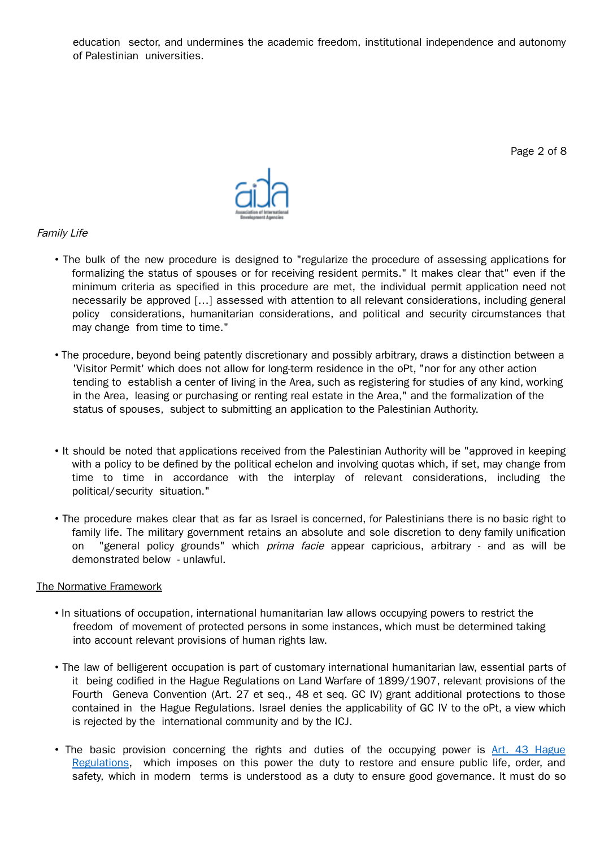education sector, and undermines the academic freedom, institutional independence and autonomy of Palestinian universities.

Page 2 of 8



## Family Life

- The bulk of the new procedure is designed to "regularize the procedure of assessing applications for formalizing the status of spouses or for receiving resident permits." It makes clear that" even if the minimum criteria as specified in this procedure are met, the individual permit application need not necessarily be approved […] assessed with attention to all relevant considerations, including general policy considerations, humanitarian considerations, and political and security circumstances that may change from time to time."
- The procedure, beyond being patently discretionary and possibly arbitrary, draws a distinction between a 'Visitor Permit' which does not allow for long-term residence in the oPt, "nor for any other action tending to establish a center of living in the Area, such as registering for studies of any kind, working in the Area, leasing or purchasing or renting real estate in the Area," and the formalization of the status of spouses, subject to submitting an application to the Palestinian Authority.
- It should be noted that applications received from the Palestinian Authority will be "approved in keeping with a policy to be defined by the political echelon and involving quotas which, if set, may change from time to time in accordance with the interplay of relevant considerations, including the political/security situation."
- The procedure makes clear that as far as Israel is concerned, for Palestinians there is no basic right to family life. The military government retains an absolute and sole discretion to deny family unification on "general policy grounds" which *prima facie* appear capricious, arbitrary - and as will be demonstrated below - unlawful.

## The Normative Framework

- In situations of occupation, international humanitarian law allows occupying powers to restrict the freedom of movement of protected persons in some instances, which must be determined taking into account relevant provisions of human rights law.
- The law of belligerent occupation is part of customary international humanitarian law, essential parts of it being codified in the Hague Regulations on Land Warfare of 1899/1907, relevant provisions of the Fourth Geneva Convention (Art. 27 et seq., 48 et seq. GC IV) grant additional protections to those contained in the Hague Regulations. Israel denies the applicability of GC IV to the oPt, a view which is rejected by the international community and by the ICJ.
- The basic provision concerning the rights and duties of the occupying power is Art. 43 Hague Regulations, which imposes on this power the duty to restore and ensure public life, order, and safety, which in modern terms is understood as a duty to ensure good governance. It must do so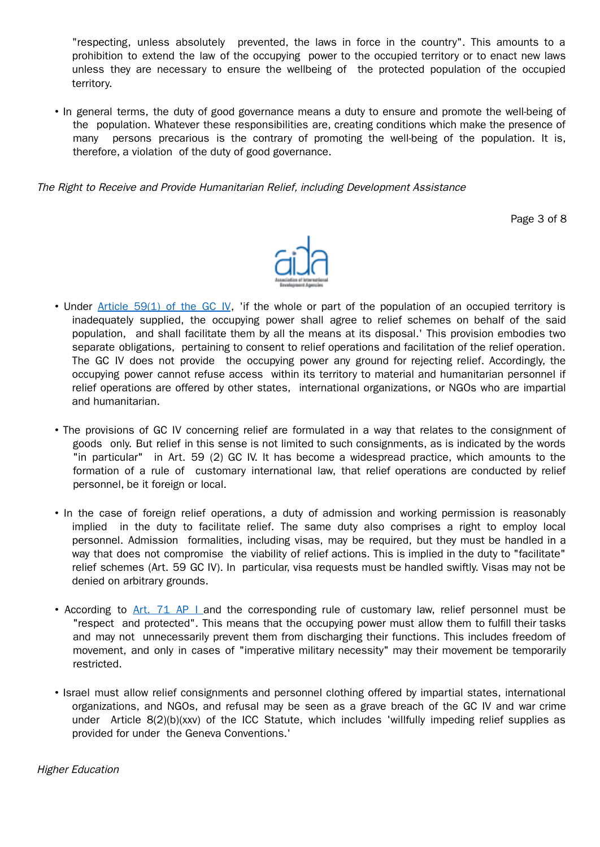"respecting, unless absolutely prevented, the laws in force in the country". This amounts to a prohibition to extend the law of the occupying power to the occupied territory or to enact new laws unless they are necessary to ensure the wellbeing of the protected population of the occupied territory.

• In general terms, the duty of good governance means a duty to ensure and promote the well-being of the population. Whatever these responsibilities are, creating conditions which make the presence of many persons precarious is the contrary of promoting the well-being of the population. It is, therefore, a violation of the duty of good governance.

The Right to Receive and Provide Humanitarian Relief, including Development Assistance

Page 3 of 8



- Under Article 59(1) of the GC IV. 'if the whole or part of the population of an occupied territory is inadequately supplied, the occupying power shall agree to relief schemes on behalf of the said population, and shall facilitate them by all the means at its disposal.' This provision embodies two separate obligations, pertaining to consent to relief operations and facilitation of the relief operation. The GC IV does not provide the occupying power any ground for rejecting relief. Accordingly, the occupying power cannot refuse access within its territory to material and humanitarian personnel if relief operations are offered by other states, international organizations, or NGOs who are impartial and humanitarian.
- The provisions of GC IV concerning relief are formulated in a way that relates to the consignment of goods only. But relief in this sense is not limited to such consignments, as is indicated by the words "in particular" in Art. 59 (2) GC IV. It has become a widespread practice, which amounts to the formation of a rule of customary international law, that relief operations are conducted by relief personnel, be it foreign or local.
- In the case of foreign relief operations, a duty of admission and working permission is reasonably implied in the duty to facilitate relief. The same duty also comprises a right to employ local personnel. Admission formalities, including visas, may be required, but they must be handled in a way that does not compromise the viability of relief actions. This is implied in the duty to "facilitate" relief schemes (Art. 59 GC IV). In particular, visa requests must be handled swiftly. Visas may not be denied on arbitrary grounds.
- According to Art. 71 AP I and the corresponding rule of customary law, relief personnel must be "respect and protected". This means that the occupying power must allow them to fulfill their tasks and may not unnecessarily prevent them from discharging their functions. This includes freedom of movement, and only in cases of "imperative military necessity" may their movement be temporarily restricted.
- Israel must allow relief consignments and personnel clothing offered by impartial states, international organizations, and NGOs, and refusal may be seen as a grave breach of the GC IV and war crime under Article 8(2)(b)(xxv) of the ICC Statute, which includes 'willfully impeding relief supplies as provided for under the Geneva Conventions.'

Higher Education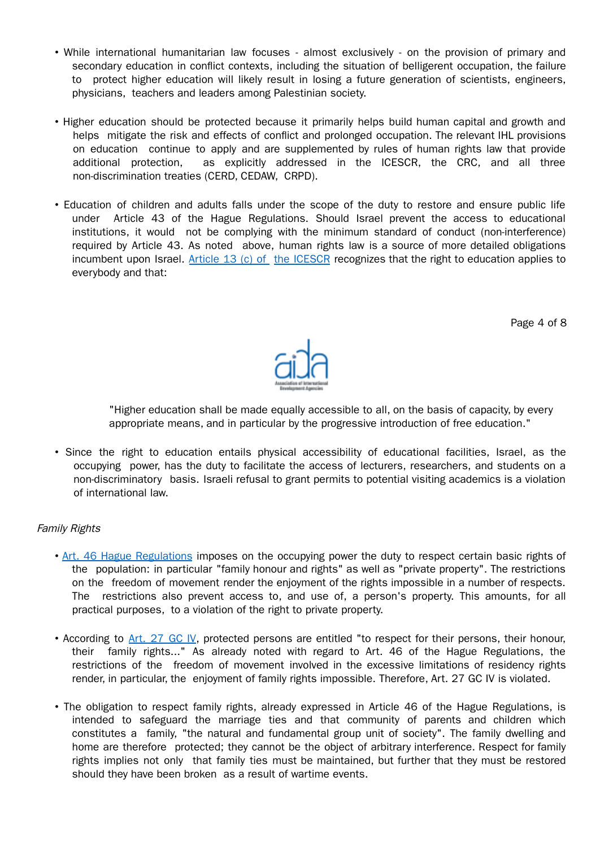- While international humanitarian law focuses almost exclusively on the provision of primary and secondary education in conflict contexts, including the situation of belligerent occupation, the failure to protect higher education will likely result in losing a future generation of scientists, engineers, physicians, teachers and leaders among Palestinian society.
- Higher education should be protected because it primarily helps build human capital and growth and helps mitigate the risk and effects of conflict and prolonged occupation. The relevant IHL provisions on education continue to apply and are supplemented by rules of human rights law that provide additional protection, as explicitly addressed in the ICESCR, the CRC, and all three non-discrimination treaties (CERD, CEDAW, CRPD).
- Education of children and adults falls under the scope of the duty to restore and ensure public life under Article 43 of the Hague Regulations. Should Israel prevent the access to educational institutions, it would not be complying with the minimum standard of conduct (non-interference) required by Article 43. As noted above, human rights law is a source of more detailed obligations incumbent upon Israel. Article 13 (c) of the ICESCR recognizes that the right to education applies to everybody and that:

Page 4 of 8



"Higher education shall be made equally accessible to all, on the basis of capacity, by every appropriate means, and in particular by the progressive introduction of free education."

• Since the right to education entails physical accessibility of educational facilities, Israel, as the occupying power, has the duty to facilitate the access of lecturers, researchers, and students on a non-discriminatory basis. Israeli refusal to grant permits to potential visiting academics is a violation of international law.

## Family Rights

- Art. 46 Hague Regulations imposes on the occupying power the duty to respect certain basic rights of the population: in particular "family honour and rights" as well as "private property". The restrictions on the freedom of movement render the enjoyment of the rights impossible in a number of respects. The restrictions also prevent access to, and use of, a person's property. This amounts, for all practical purposes, to a violation of the right to private property.
- According to Art. 27 GC IV, protected persons are entitled "to respect for their persons, their honour, their family rights..." As already noted with regard to Art. 46 of the Hague Regulations, the restrictions of the freedom of movement involved in the excessive limitations of residency rights render, in particular, the enjoyment of family rights impossible. Therefore, Art. 27 GC IV is violated.
- The obligation to respect family rights, already expressed in Article 46 of the Hague Regulations, is intended to safeguard the marriage ties and that community of parents and children which constitutes a family, "the natural and fundamental group unit of society". The family dwelling and home are therefore protected; they cannot be the object of arbitrary interference. Respect for family rights implies not only that family ties must be maintained, but further that they must be restored should they have been broken as a result of wartime events.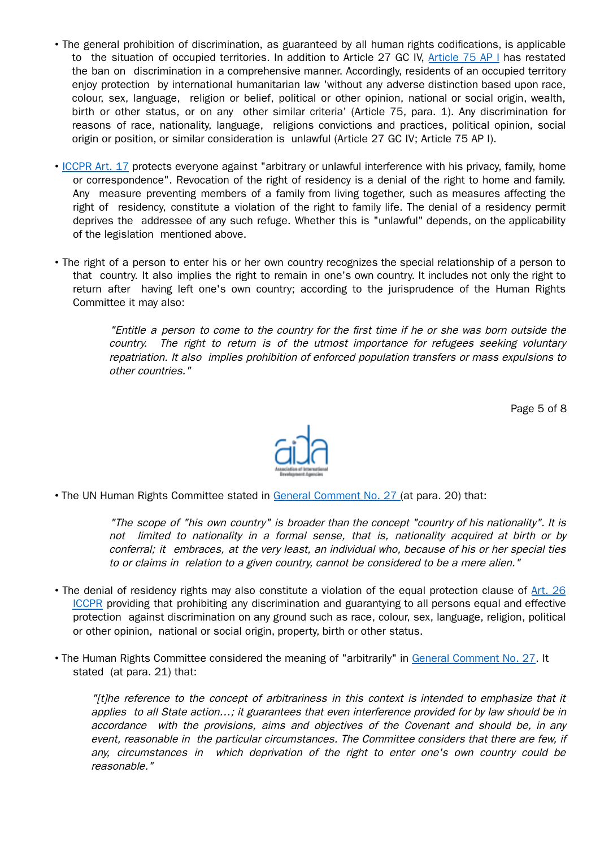- The general prohibition of discrimination, as guaranteed by all human rights codifications, is applicable to the situation of occupied territories. In addition to Article 27 GC IV, Article 75 AP I has restated the ban on discrimination in a comprehensive manner. Accordingly, residents of an occupied territory enjoy protection by international humanitarian law 'without any adverse distinction based upon race, colour, sex, language, religion or belief, political or other opinion, national or social origin, wealth, birth or other status, or on any other similar criteria' (Article 75, para. 1). Any discrimination for reasons of race, nationality, language, religions convictions and practices, political opinion, social origin or position, or similar consideration is unlawful (Article 27 GC IV; Article 75 AP I).
- ICCPR Art. 17 protects everyone against "arbitrary or unlawful interference with his privacy, family, home or correspondence". Revocation of the right of residency is a denial of the right to home and family. Any measure preventing members of a family from living together, such as measures affecting the right of residency, constitute a violation of the right to family life. The denial of a residency permit deprives the addressee of any such refuge. Whether this is "unlawful" depends, on the applicability of the legislation mentioned above.
- The right of a person to enter his or her own country recognizes the special relationship of a person to that country. It also implies the right to remain in one's own country. It includes not only the right to return after having left one's own country; according to the jurisprudence of the Human Rights Committee it may also:

"Entitle <sup>a</sup> person to come to the country for the first time if he or she was born outside the country. The right to return is of the utmost importance for refugees seeking voluntary repatriation. It also implies prohibition of enforced population transfers or mass expulsions to other countries."

Page 5 of 8



• The UN Human Rights Committee stated in General Comment No. 27 (at para. 20) that:

"The scope of "his own country" is broader than the concept "country of his nationality". It is not limited to nationality in <sup>a</sup> formal sense, that is, nationality acquired at birth or by conferral; it embraces, at the very least, an individual who, because of his or her special ties to or claims in relation to <sup>a</sup> given country, cannot be considered to be <sup>a</sup> mere alien."

- The denial of residency rights may also constitute a violation of the equal protection clause of Art. 26 ICCPR providing that prohibiting any discrimination and guarantying to all persons equal and effective protection against discrimination on any ground such as race, colour, sex, language, religion, political or other opinion, national or social origin, property, birth or other status.
- The Human Rights Committee considered the meaning of "arbitrarily" in General Comment No. 27. It stated (at para. 21) that:

"[t]he reference to the concept of arbitrariness in this context is intended to emphasize that it applies to all State action…; it guarantees that even interference provided for by law should be in accordance with the provisions, aims and objectives of the Covenant and should be, in any event, reasonable in the particular circumstances. The Committee considers that there are few, if any, circumstances in which deprivation of the right to enter one's own country could be reasonable."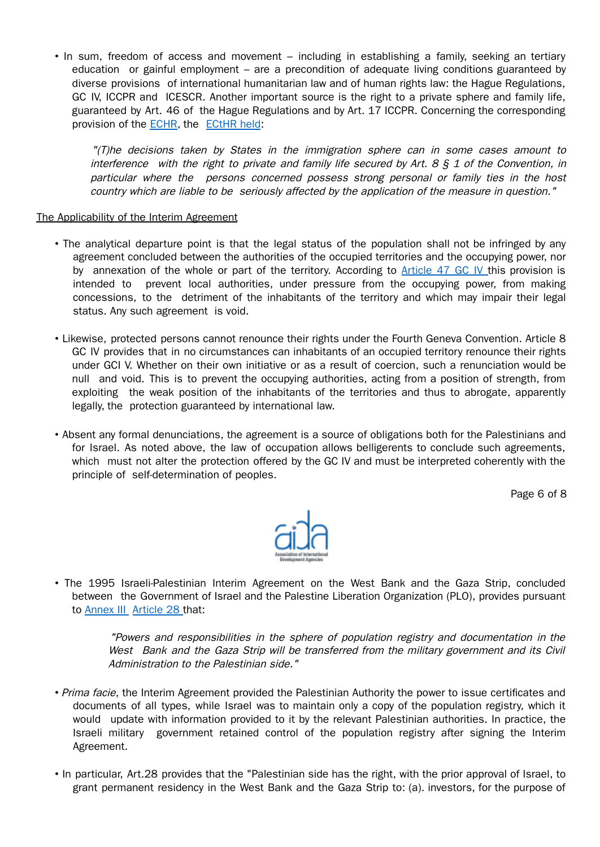• In sum, freedom of access and movement – including in establishing a family, seeking an tertiary education or gainful employment – are a precondition of adequate living conditions guaranteed by diverse provisions of international humanitarian law and of human rights law: the Hague Regulations, GC IV, ICCPR and ICESCR. Another important source is the right to a private sphere and family life, guaranteed by Art. 46 of the Hague Regulations and by Art. 17 ICCPR. Concerning the corresponding provision of the ECHR, the ECtHR held:

"(T)he decisions taken by States in the immigration sphere can in some cases amount to interference with the right to private and family life secured by Art,  $8 \xi$  1 of the Convention, in particular where the persons concerned possess strong personal or family ties in the host country which are liable to be seriously affected by the application of the measure in question."

### The Applicability of the Interim Agreement

- The analytical departure point is that the legal status of the population shall not be infringed by any agreement concluded between the authorities of the occupied territories and the occupying power, nor by annexation of the whole or part of the territory. According to Article 47 GC IV this provision is intended to prevent local authorities, under pressure from the occupying power, from making concessions, to the detriment of the inhabitants of the territory and which may impair their legal status. Any such agreement is void.
- Likewise, protected persons cannot renounce their rights under the Fourth Geneva Convention. Article 8 GC IV provides that in no circumstances can inhabitants of an occupied territory renounce their rights under GCI V. Whether on their own initiative or as a result of coercion, such a renunciation would be null and void. This is to prevent the occupying authorities, acting from a position of strength, from exploiting the weak position of the inhabitants of the territories and thus to abrogate, apparently legally, the protection guaranteed by international law.
- Absent any formal denunciations, the agreement is a source of obligations both for the Palestinians and for Israel. As noted above, the law of occupation allows belligerents to conclude such agreements, which must not alter the protection offered by the GC IV and must be interpreted coherently with the principle of self-determination of peoples.

Page 6 of 8



• The 1995 Israeli-Palestinian Interim Agreement on the West Bank and the Gaza Strip, concluded between the Government of Israel and the Palestine Liberation Organization (PLO), provides pursuant to **Annex III** Article 28 that:

> "Powers and responsibilities in the sphere of population registry and documentation in the West Bank and the Gaza Strip will be transferred from the military government and its Civil Administration to the Palestinian side."

- Prima facie, the Interim Agreement provided the Palestinian Authority the power to issue certificates and documents of all types, while Israel was to maintain only a copy of the population registry, which it would update with information provided to it by the relevant Palestinian authorities. In practice, the Israeli military government retained control of the population registry after signing the Interim Agreement.
- In particular, Art.28 provides that the "Palestinian side has the right, with the prior approval of Israel, to grant permanent residency in the West Bank and the Gaza Strip to: (a). investors, for the purpose of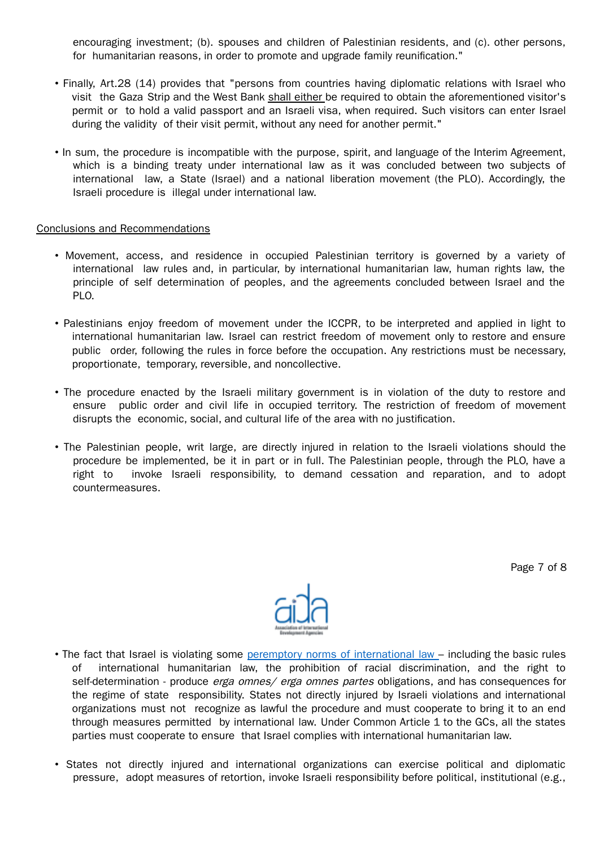encouraging investment; (b). spouses and children of Palestinian residents, and (c). other persons, for humanitarian reasons, in order to promote and upgrade family reunification."

- Finally, Art.28 (14) provides that "persons from countries having diplomatic relations with Israel who visit the Gaza Strip and the West Bank shall either be required to obtain the aforementioned visitor's permit or to hold a valid passport and an Israeli visa, when required. Such visitors can enter Israel during the validity of their visit permit, without any need for another permit."
- In sum, the procedure is incompatible with the purpose, spirit, and language of the Interim Agreement, which is a binding treaty under international law as it was concluded between two subjects of international law, a State (Israel) and a national liberation movement (the PLO). Accordingly, the Israeli procedure is illegal under international law.

### Conclusions and Recommendations

- Movement, access, and residence in occupied Palestinian territory is governed by a variety of international law rules and, in particular, by international humanitarian law, human rights law, the principle of self determination of peoples, and the agreements concluded between Israel and the PLO.
- Palestinians enjoy freedom of movement under the ICCPR, to be interpreted and applied in light to international humanitarian law. Israel can restrict freedom of movement only to restore and ensure public order, following the rules in force before the occupation. Any restrictions must be necessary, proportionate, temporary, reversible, and noncollective.
- The procedure enacted by the Israeli military government is in violation of the duty to restore and ensure public order and civil life in occupied territory. The restriction of freedom of movement disrupts the economic, social, and cultural life of the area with no justification.
- The Palestinian people, writ large, are directly injured in relation to the Israeli violations should the procedure be implemented, be it in part or in full. The Palestinian people, through the PLO, have a right to invoke Israeli responsibility, to demand cessation and reparation, and to adopt countermeasures.

Page 7 of 8



- The fact that Israel is violating some peremptory norms of international law including the basic rules of international humanitarian law, the prohibition of racial discrimination, and the right to self-determination - produce erga omnes/ erga omnes partes obligations, and has consequences for the regime of state responsibility. States not directly injured by Israeli violations and international organizations must not recognize as lawful the procedure and must cooperate to bring it to an end through measures permitted by international law. Under Common Article 1 to the GCs, all the states parties must cooperate to ensure that Israel complies with international humanitarian law.
- States not directly injured and international organizations can exercise political and diplomatic pressure, adopt measures of retortion, invoke Israeli responsibility before political, institutional (e.g.,